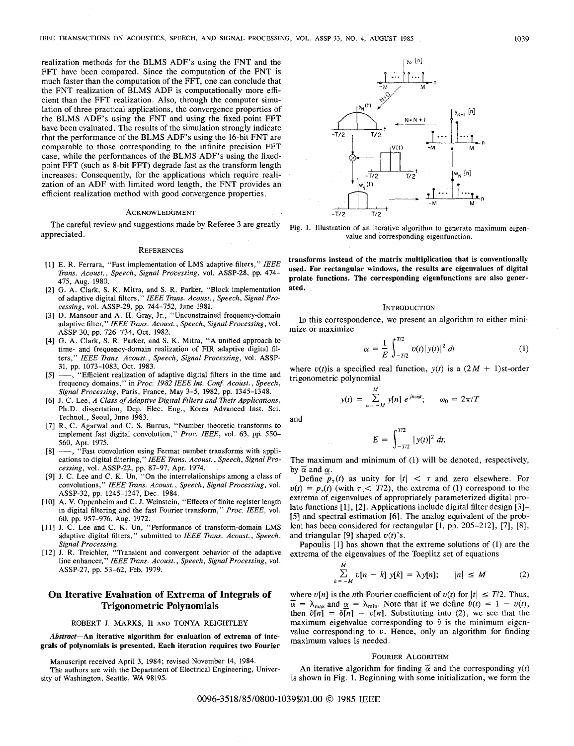realization methods for the BLMS ADF's using the FNT and the FFT have been compared. Since the computation of the FNT is EEE TRANSACTIONS ON ACOUSTICS, SPEECH, AND SIGNAL PROCESSING, VOL. ASSP-33, NO. 4, AUGUST 1985<br>realization methods for the BLMS ADF's using the FNT and the<br>FFT have been compared. Since the computation of the FNT is<br>much the FNT realization of BLMS ADF is computationally more efficient than the FFT realization. Also, through the computer simulation of three practical applications, the convergence properties of the BLMS ADF's using the FNT and using the fixed-point FFT have been evaluated. The results of the simulation strongly indicate that the performance of the BLMS ADF's using the 16-bit FNT are comparable to those corresponding to the infinite precision FFT case, while the performances of the BLMS ADF's using the fixedpoint FFT (such as 8-bit FFT) degrade fast as the transform length increases. Consequently, for the applications which require realization of an ADF with limited word length, the FNT provides an efficient realization method with good convergence properties.

The careful review and suggestions made by Referee 3 are greatly Fig. 1. Illustration of an iterative algorithm to generate maximum eigenappreciated. value and corresponding eigenfunction.

#### **REFERENCES**

- E. R. Ferrara, "Fast implementation of LMS adaptive filters," *IEEE Trans. Acoust., Speech, Signal Processing,* vol. ASSP-28, pp. 474- 475, Aug. 1980.
- G. A. Clark, S. K. Mitra, and S. R. Parker, "Block implementatio of adaptive digital filters," *IEEE Trans. Acoust., Speech, Signal Processing,* vol. ASSP-29, pp. 744-752, June 1981.
- D. Mansour and A. **H.** Gray, Jr., "Unconstrained frequency-domain adaptive filter," *IEEE Trans. Acoust., Speech, Signal Processing,* vol. ASSP-30, pp. 726-734, Oct. 1982.
- *G.* A. Clark, **S.** R. Parker, and S. K. Mitra, "A unified approach to time- and frequency-domain realization of FIR adaptive digital filters,'' *IEEE Trans. Acoust., Speech, Signal Processing,* vol. ASSP-31, Purel, S. R. Parker, and S. K. Mitra, "A united approacl<br>time- and frequency-domain realization of FIR adaptive digital<br>ters," IEEE Trans. Acoust., Speech, Signal Processing, vol. AS<br>31, pp. 1073-1083, Oct. 1983.<br>——, "
- $[5]$ frequency domains," in *Proc. 1982 IEEE Int. Conf: Acoust., Speech, Signal Processing,* Paris, France, May 3-5, 1982, pp. 1345-1348.
- J. C. Lee, *A Class of Adaptive Digital Filters and Their Applications,*  Ph.D. dissertation, Dep. Elec: Eng., Korea Advanced Inst. Sci. Technol., Seoul, June 1983.
- Technol., Seoul, June 1983.<br>
R. C. Agarwal and C. S. Burrus, "Number theoretic transforms to<br>
implement fast digital convolution," *Proc. IEEE*, vol. 63, pp. 550–<br>
560, Apr. 1975.<br>
—, "Fast convolution using Fermat number  $[7]$ implement fast digital convolution," *Proc. IEEE,* vol. 63, pp. 550- 560, Apr. 1975.<br>—, "Fast convolution using Fermat number transforms with appli-
- $[8]$ cations to digital filtering," *IEEE Trans. Acoust., Speech, Signal Processing,* vol. ASSP-22, pp. 87-97, Apr. 1974.
- J. C. Lee and C. **K.** Un, "On the interrelationships among a class of  $[9]$ convolutions," *IEEE Trans. Acoust., Speech, Signal Processing,* vol. ASSP-32, **pp.** 1245-1247, Dec. 1984.
- [10] A. V. Oppenheim and C. J. Weinstein, "Effects of finite register length in digital filtering and the fast Fourier transform," *Proc. IEEE,* vol. 60, pp. 957-976, Aug. 1972.
- J. C. Lee and C. K. Un, "Performance of transform-domain LMS  $[11]$ adaptive digital filters," submitted to *IEEE Trans. Acoust., Speech, Signal Processing.*
- J. R. Treichler, "Transient and convergent behavior of the adaptive line enhancer," *IEEE Trans. Acoust., Speech, Signal Processing,* vol. ASSP-27, pp. 53-62, Feb. 1979.

# **On Iterative Evaluation of Extrema of Integrals of Trigonometric Polynomials**

#### ROBERT J. MARKS, **I1 AND** TONYA REIGHTLEY

Abstract-An iterative algorithm for evaluation of extrema of inte**grals of polynomials is presented. Each iteration requires two Fourier** 

Manuscript received April 3, 1984; revised November 14, 1984.

The authors are with the Department of Electrical Engineering, University of Washington, Seattle, WA 98195.



**transforms instead of the matrix multiplication that is conventionally used. For rectangular windows, the results are eigenvalues of digital prolate functions. The corresponding eigenfunctions are also generated.** 

#### **INTRODUCTION**

In this correspondence, we present an algorithm to either minimize or maximize

$$
\alpha = \frac{1}{E} \int_{-T/2}^{T/2} v(t) |y(t)|^2 dt
$$
 (1)

where  $v(t)$  is a specified real function,  $y(t)$  is a  $(2M + 1)$ st-order trigonometric polynomial

$$
y(t) = \sum_{n=-M}^{M} y[n] e^{jn\omega_0 t}; \qquad \omega_0 = 2\pi/T
$$

and

$$
E = \int_{-T/2}^{T/2} |y(t)|^2 dt.
$$

The maximum and minimum of (1) will be denoted, respectively, by  $\alpha$  and  $\alpha$ .

Define  $p_1(t)$  as unity for  $|t| < \tau$  and zero elsewhere. For  $v(t) = p_r(t)$  (with  $\tau < T/2$ ), the extrema of (1) correspond to the extrema of eigenvalues of appropriately parameterized digital prolate functions [ **11,** *[2].* Applications include digital filter design [3]- [5] and spectral estimation [6]. The analog equivalent of the problem has been considered for rectangular [ 1, pp. *205-2121, [7], [8],*  and triangular *[9]* shaped *u(t)'s.* 

Papoulis [1] has shown that the extreme solutions of (1) are the

extrema of the eigenvalues of the Toeplitz set of equations  
\n
$$
\sum_{k=-M}^{M} v[n - k] y[k] = \lambda y[n]; \qquad |n| \leq M
$$
\n(2)

where  $v[n]$  is the nth Fourier coefficient of  $v(t)$  for  $|t| \leq T/2$ . Thus,  $\overline{\alpha} = \lambda_{\text{max}}$  and  $\alpha = \lambda_{\text{min}}$ . Note that if we define  $\hat{v}(t) = 1 - v(t)$ , then  $\hat{v}[n] = \delta[n] - v[n]$ . Substituting into (2), we see that the maximum eigenvalue corresponding to  $\hat{v}$  is the minimum eigenvalue corresponding to  $v$ . Hence, only an algorithm for finding maximum values is needed.

## FOURIER ALGORITHM

An iterative algorithm for finding  $\overline{\alpha}$  and the corresponding  $y(t)$ is shown in Fig. 1. Beginning with some initialization, we form the